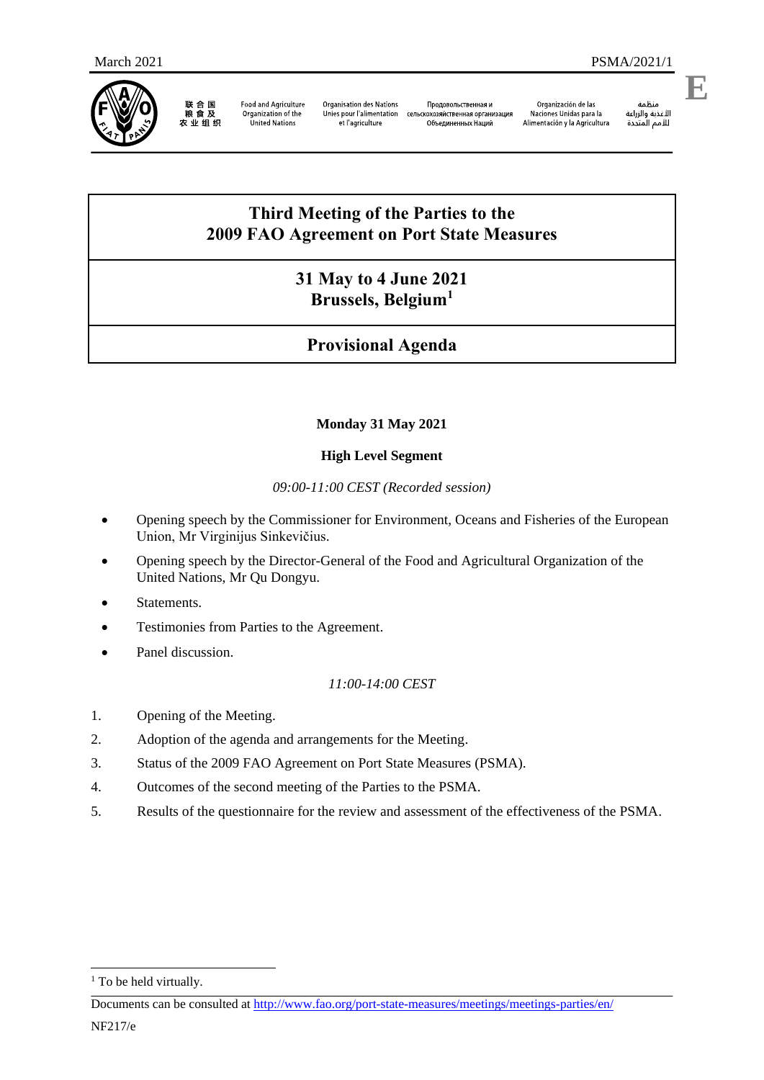

联合国<br>粮食及<br>农业组织

**Food and Agriculture** Organization of the<br>United Nations

**Organisation des Nations** Unies pour l'alimentation  $C<sub>CD</sub>$ et l'agriculture

Продовольственная и .<br>скохозяйственная организация Объединенных Наций

Organización de las Naciones Unidas para la Alimentación y la Agricultura

منظمة منطمة<br>الأغذية والزراعة<br>للأمم المتحدة

**E**

# **Third Meeting of the Parties to the 2009 FAO Agreement on Port State Measures**

# **31 May to 4 June 2021 Brussels, Belgium<sup>1</sup>**

# **Provisional Agenda**

## **Monday 31 May 2021**

## **High Level Segment**

*09:00-11:00 CEST (Recorded session)*

- Opening speech by the Commissioner for Environment, Oceans and Fisheries of the European Union, Mr Virginijus Sinkevičius.
- Opening speech by the Director-General of the Food and Agricultural Organization of the United Nations, Mr Qu Dongyu.
- **Statements**
- Testimonies from Parties to the Agreement.
- Panel discussion.

## *11:00-14:00 CEST*

- 1. Opening of the Meeting.
- 2. Adoption of the agenda and arrangements for the Meeting.
- 3. Status of the 2009 FAO Agreement on Port State Measures (PSMA).
- 4. Outcomes of the second meeting of the Parties to the PSMA.
- 5. Results of the questionnaire for the review and assessment of the effectiveness of the PSMA.

Documents can be consulted at<http://www.fao.org/port-state-measures/meetings/meetings-parties/en/>

1

<sup>&</sup>lt;sup>1</sup> To be held virtually.